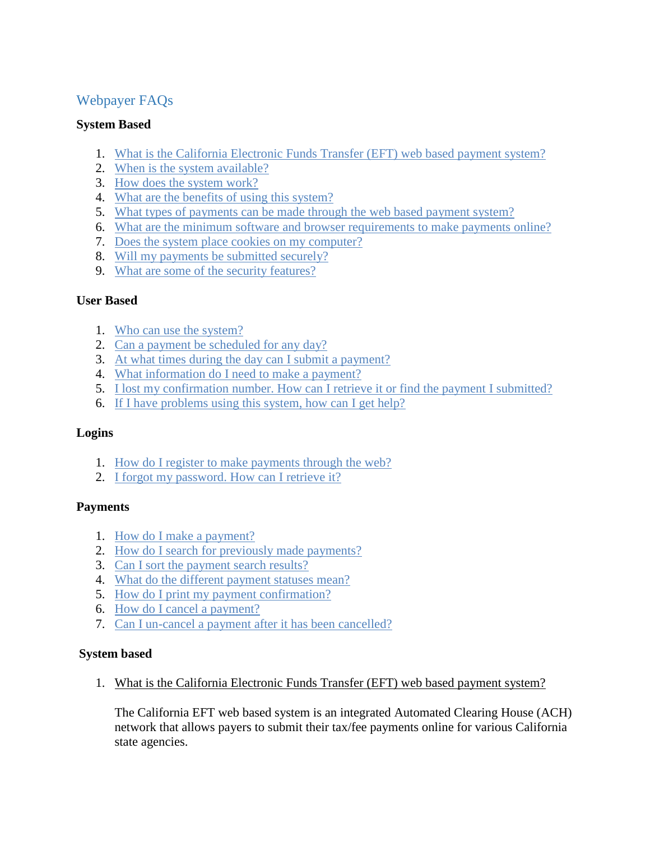# Webpayer FAQs

## **System Based**

- 1. [What is the California Electronic Funds Transfer \(EFT\) web based payment system?](#page-0-0)
- 2. [When is the system available?](#page-1-0)
- 3. [How does the system work?](#page-1-1)
- 4. [What are the benefits of using this system?](#page-1-2)
- 5. [What types of payments can be made through the web based payment system?](#page-1-3)
- 6. [What are the minimum software and browser requirements to make payments online?](#page-2-0)
- 7. [Does the system place cookies on my computer?](#page-2-1)
- 8. [Will my payments be submitted securely?](#page-2-2)
- 9. [What are some of the security features?](#page-2-3)

# **User Based**

- 1. [Who can use the system?](#page-3-0)
- 2. [Can a payment be scheduled for](#page-3-1) any day?
- 3. [At what times during the day can I submit a payment?](#page-3-2)
- 4. [What information do I need to make a payment?](#page-3-3)
- 5. [I lost my confirmation number. How can I retrieve it or find the payment I submitted?](#page-4-0)
- 6. [If I have problems using this system, how can I get help?](#page-4-1)

### **Logins**

- 1. [How do I register to make payments through the web?](#page-4-2)
- 2. [I forgot my password. How can I retrieve it?](#page-4-3)

### **Payments**

- 1. [How do I make a payment?](#page-4-4)
- 2. [How do I search for previously made payments?](#page-4-5)
- 3. [Can I sort the payment search results?](#page-5-0)
- 4. [What do the different payment statuses mean?](#page-5-1)
- 5. [How do I print my payment confirmation?](#page-5-2)
- 6. How do I [cancel a payment?](#page-5-3)
- 7. [Can I un-cancel a payment after it has been cancelled?](#page-5-4)

### <span id="page-0-0"></span>**System based**

1. What is the California Electronic Funds Transfer (EFT) web based payment system?

The California EFT web based system is an integrated Automated Clearing House (ACH) network that allows payers to submit their tax/fee payments online for various California state agencies.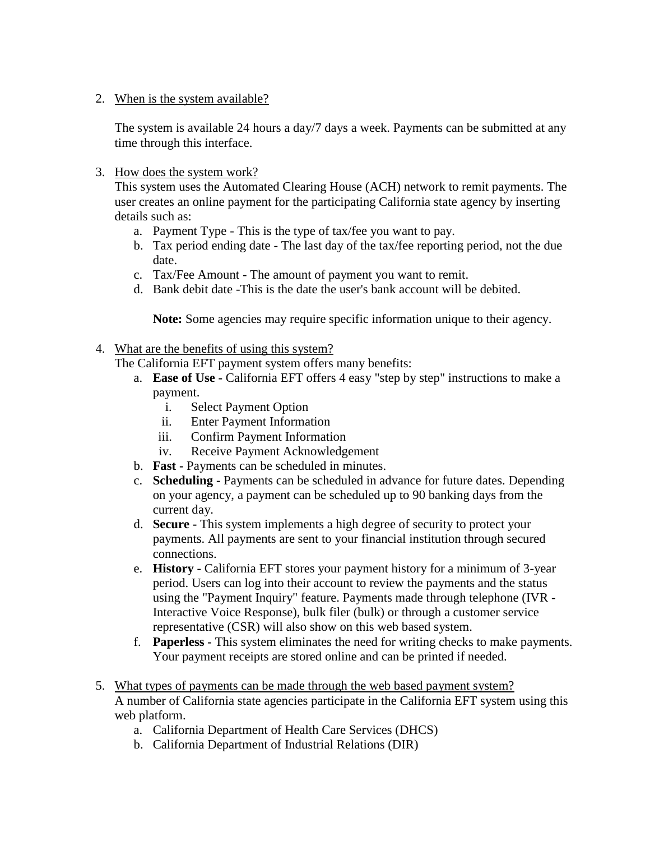<span id="page-1-0"></span>2. When is the system available?

The system is available 24 hours a day/7 days a week. Payments can be submitted at any time through this interface.

<span id="page-1-1"></span>3. How does the system work?

This system uses the Automated Clearing House (ACH) network to remit payments. The user creates an online payment for the participating California state agency by inserting details such as:

- a. Payment Type This is the type of tax/fee you want to pay.
- b. Tax period ending date The last day of the tax/fee reporting period, not the due date.
- c. Tax/Fee Amount The amount of payment you want to remit.
- d. Bank debit date -This is the date the user's bank account will be debited.

**Note:** Some agencies may require specific information unique to their agency.

- <span id="page-1-2"></span>4. What are the benefits of using this system?
	- The California EFT payment system offers many benefits:
		- a. **Ease of Use -** California EFT offers 4 easy "step by step" instructions to make a payment.
			- i. Select Payment Option
			- ii. Enter Payment Information
			- iii. Confirm Payment Information
			- iv. Receive Payment Acknowledgement
		- b. **Fast -** Payments can be scheduled in minutes.
		- c. **Scheduling -** Payments can be scheduled in advance for future dates. Depending on your agency, a payment can be scheduled up to 90 banking days from the current day.
		- d. **Secure -** This system implements a high degree of security to protect your payments. All payments are sent to your financial institution through secured connections.
		- e. **History -** California EFT stores your payment history for a minimum of 3-year period. Users can log into their account to review the payments and the status using the "Payment Inquiry" feature. Payments made through telephone (IVR - Interactive Voice Response), bulk filer (bulk) or through a customer service representative (CSR) will also show on this web based system.
		- f. **Paperless -** This system eliminates the need for writing checks to make payments. Your payment receipts are stored online and can be printed if needed.
- <span id="page-1-3"></span>5. What types of payments can be made through the web based payment system? A number of California state agencies participate in the California EFT system using this web platform.
	- a. California Department of Health Care Services (DHCS)
	- b. California Department of Industrial Relations (DIR)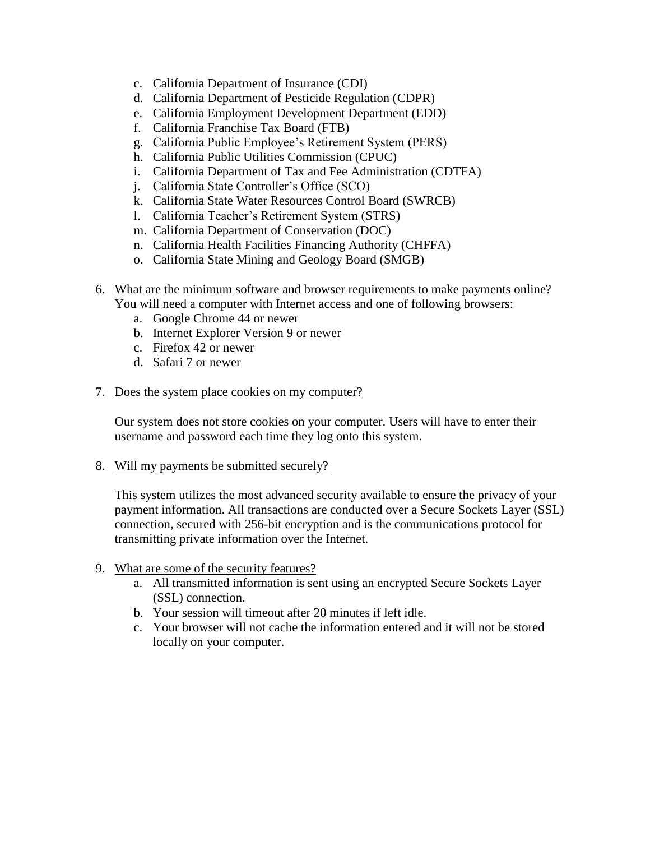- c. California Department of Insurance (CDI)
- d. California Department of Pesticide Regulation (CDPR)
- e. California Employment Development Department (EDD)
- f. California Franchise Tax Board (FTB)
- g. California Public Employee's Retirement System (PERS)
- h. California Public Utilities Commission (CPUC)
- i. California Department of Tax and Fee Administration (CDTFA)
- j. California State Controller's Office (SCO)
- k. California State Water Resources Control Board (SWRCB)
- l. California Teacher's Retirement System (STRS)
- m. California Department of Conservation (DOC)
- n. California Health Facilities Financing Authority (CHFFA)
- o. California State Mining and Geology Board (SMGB)
- <span id="page-2-0"></span>6. What are the minimum software and browser requirements to make payments online?

You will need a computer with Internet access and one of following browsers:

- a. Google Chrome 44 or newer
- b. Internet Explorer Version 9 or newer
- c. Firefox 42 or newer
- d. Safari 7 or newer
- <span id="page-2-1"></span>7. Does the system place cookies on my computer?

Our system does not store cookies on your computer. Users will have to enter their username and password each time they log onto this system.

<span id="page-2-2"></span>8. Will my payments be submitted securely?

This system utilizes the most advanced security available to ensure the privacy of your payment information. All transactions are conducted over a Secure Sockets Layer (SSL) connection, secured with 256-bit encryption and is the communications protocol for transmitting private information over the Internet.

- <span id="page-2-3"></span>9. What are some of the security features?
	- a. All transmitted information is sent using an encrypted Secure Sockets Layer (SSL) connection.
	- b. Your session will timeout after 20 minutes if left idle.
	- c. Your browser will not cache the information entered and it will not be stored locally on your computer.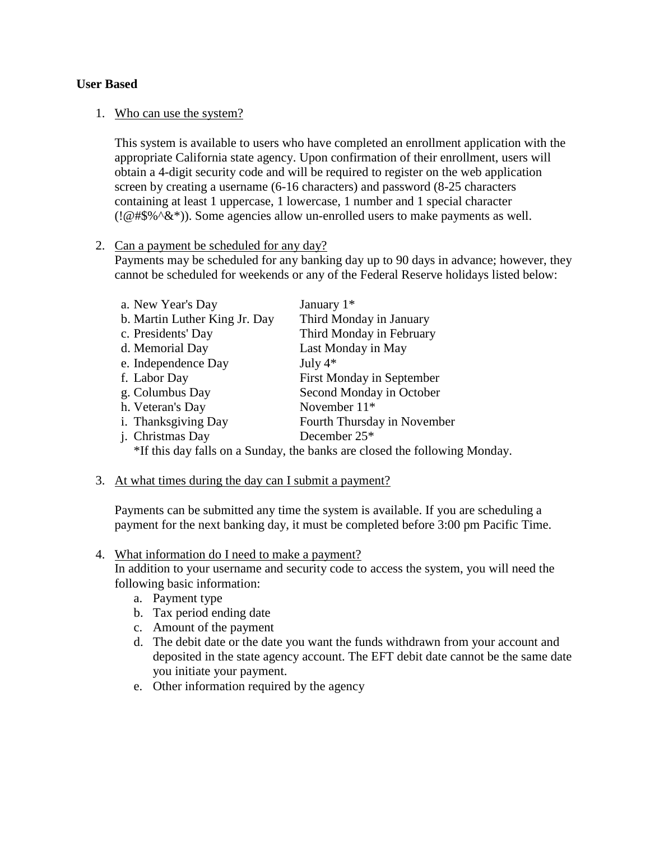#### <span id="page-3-0"></span>**User Based**

#### 1. Who can use the system?

This system is available to users who have completed an enrollment application with the appropriate California state agency. Upon confirmation of their enrollment, users will obtain a 4-digit security code and will be required to register on the web application screen by creating a username (6-16 characters) and password (8-25 characters containing at least 1 uppercase, 1 lowercase, 1 number and 1 special character (! $@#\$\%^{\infty}$ ). Some agencies allow un-enrolled users to make payments as well.

#### <span id="page-3-1"></span>2. Can a payment be scheduled for any day?

Payments may be scheduled for any banking day up to 90 days in advance; however, they cannot be scheduled for weekends or any of the Federal Reserve holidays listed below:

| a. New Year's Day                                                          | January $1*$                     |
|----------------------------------------------------------------------------|----------------------------------|
| b. Martin Luther King Jr. Day                                              | Third Monday in January          |
| c. Presidents' Day                                                         | Third Monday in February         |
| d. Memorial Day                                                            | Last Monday in May               |
| e. Independence Day                                                        | July $4*$                        |
| f. Labor Day                                                               | <b>First Monday in September</b> |
| g. Columbus Day                                                            | Second Monday in October         |
| h. Veteran's Day                                                           | November $11*$                   |
| i. Thanksgiving Day                                                        | Fourth Thursday in November      |
| j. Christmas Day                                                           | December 25*                     |
| $*$ If this day following Sunday the benize are alocad the following Monde |                                  |

\*If this day falls on a Sunday, the banks are closed the following Monday.

#### <span id="page-3-2"></span>3. At what times during the day can I submit a payment?

Payments can be submitted any time the system is available. If you are scheduling a payment for the next banking day, it must be completed before 3:00 pm Pacific Time.

#### <span id="page-3-3"></span>4. What information do I need to make a payment?

In addition to your username and security code to access the system, you will need the following basic information:

- a. Payment type
- b. Tax period ending date
- c. Amount of the payment
- d. The debit date or the date you want the funds withdrawn from your account and deposited in the state agency account. The EFT debit date cannot be the same date you initiate your payment.
- e. Other information required by the agency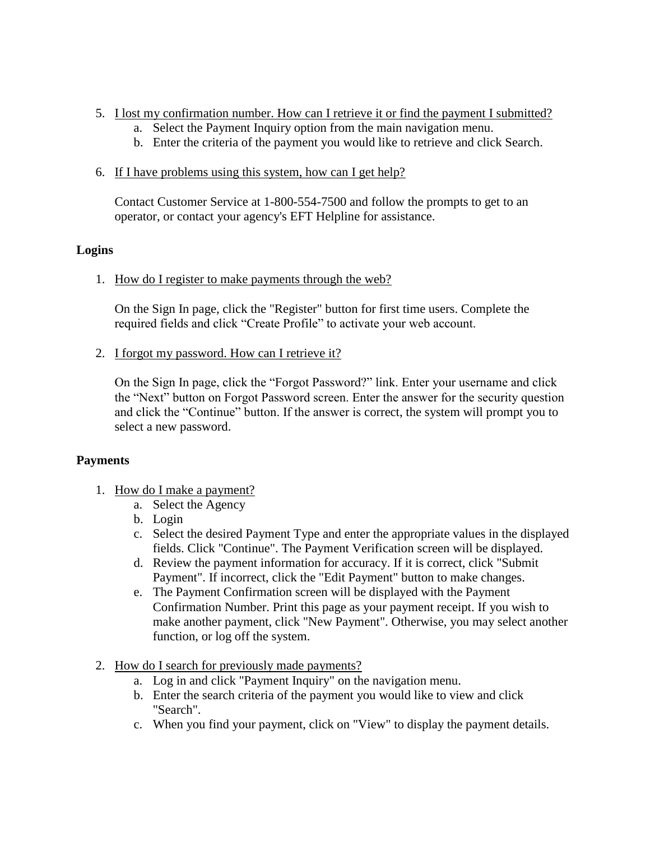- <span id="page-4-0"></span>5. I lost my confirmation number. How can I retrieve it or find the payment I submitted?
	- a. Select the Payment Inquiry option from the main navigation menu.
	- b. Enter the criteria of the payment you would like to retrieve and click Search.
- <span id="page-4-1"></span>6. If I have problems using this system, how can I get help?

Contact Customer Service at 1-800-554-7500 and follow the prompts to get to an operator, or contact your agency's EFT Helpline for assistance.

# <span id="page-4-2"></span>**Logins**

1. How do I register to make payments through the web?

On the Sign In page, click the "Register" button for first time users. Complete the required fields and click "Create Profile" to activate your web account.

<span id="page-4-3"></span>2. I forgot my password. How can I retrieve it?

On the Sign In page, click the "Forgot Password?" link. Enter your username and click the "Next" button on Forgot Password screen. Enter the answer for the security question and click the "Continue" button. If the answer is correct, the system will prompt you to select a new password.

# <span id="page-4-4"></span>**Payments**

- 1. How do I make a payment?
	- a. Select the Agency
	- b. Login
	- c. Select the desired Payment Type and enter the appropriate values in the displayed fields. Click "Continue". The Payment Verification screen will be displayed.
	- d. Review the payment information for accuracy. If it is correct, click "Submit Payment". If incorrect, click the "Edit Payment" button to make changes.
	- e. The Payment Confirmation screen will be displayed with the Payment Confirmation Number. Print this page as your payment receipt. If you wish to make another payment, click "New Payment". Otherwise, you may select another function, or log off the system.
- <span id="page-4-5"></span>2. How do I search for previously made payments?
	- a. Log in and click "Payment Inquiry" on the navigation menu.
	- b. Enter the search criteria of the payment you would like to view and click "Search".
	- c. When you find your payment, click on "View" to display the payment details.